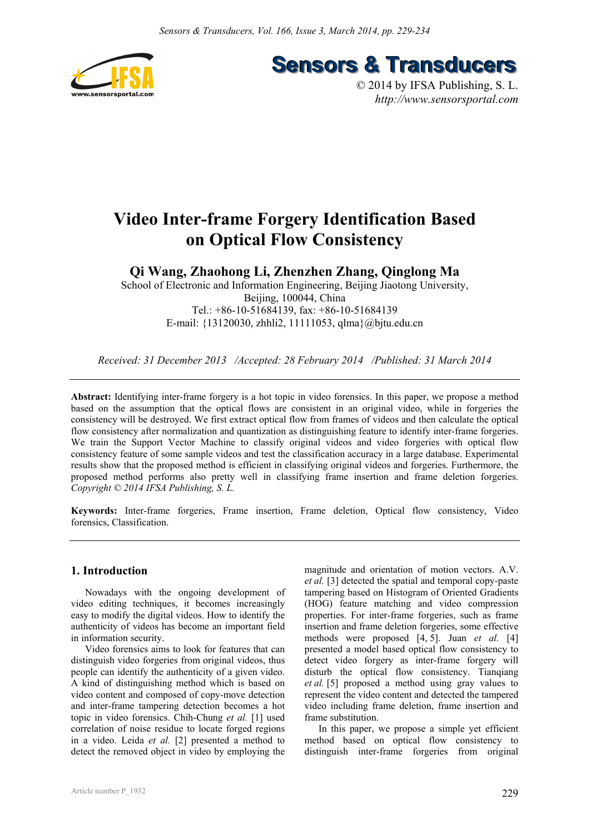

**Sensors & Transducers** 

© 2014 by IFSA Publishing, S. L. *http://www.sensorsportal.com*

# **Video Inter-frame Forgery Identification Based on Optical Flow Consistency**

**Qi Wang, Zhaohong Li, Zhenzhen Zhang, Qinglong Ma** 

School of Electronic and Information Engineering, Beijing Jiaotong University, Beijing, 100044, China Tel.: +86-10-51684139, fax: +86-10-51684139 E-mail: {13120030, zhhli2, 11111053, qlma}@bjtu.edu.cn

*Received: 31 December 2013 /Accepted: 28 February 2014 /Published: 31 March 2014* 

**Abstract:** Identifying inter-frame forgery is a hot topic in video forensics. In this paper, we propose a method based on the assumption that the optical flows are consistent in an original video, while in forgeries the consistency will be destroyed. We first extract optical flow from frames of videos and then calculate the optical flow consistency after normalization and quantization as distinguishing feature to identify inter-frame forgeries. We train the Support Vector Machine to classify original videos and video forgeries with optical flow consistency feature of some sample videos and test the classification accuracy in a large database. Experimental results show that the proposed method is efficient in classifying original videos and forgeries. Furthermore, the proposed method performs also pretty well in classifying frame insertion and frame deletion forgeries. *Copyright © 2014 IFSA Publishing, S. L.*

**Keywords:** Inter-frame forgeries, Frame insertion, Frame deletion, Optical flow consistency, Video forensics, Classification.

# **1. Introduction**

Nowadays with the ongoing development of video editing techniques, it becomes increasingly easy to modify the digital videos. How to identify the authenticity of videos has become an important field in information security.

Video forensics aims to look for features that can distinguish video forgeries from original videos, thus people can identify the authenticity of a given video. A kind of distinguishing method which is based on video content and composed of copy-move detection and inter-frame tampering detection becomes a hot topic in video forensics. Chih-Chung *et al.* [1] used correlation of noise residue to locate forged regions in a video. Leida *et al.* [2] presented a method to detect the removed object in video by employing the magnitude and orientation of motion vectors. A.V. *et al.* [3] detected the spatial and temporal copy-paste tampering based on Histogram of Oriented Gradients (HOG) feature matching and video compression properties. For inter-frame forgeries, such as frame insertion and frame deletion forgeries, some effective methods were proposed [4, 5]. Juan *et al.* [4] presented a model based optical flow consistency to detect video forgery as inter-frame forgery will disturb the optical flow consistency. Tianqiang *et al.* [5] proposed a method using gray values to represent the video content and detected the tampered video including frame deletion, frame insertion and frame substitution.

In this paper, we propose a simple yet efficient method based on optical flow consistency to distinguish inter-frame forgeries from original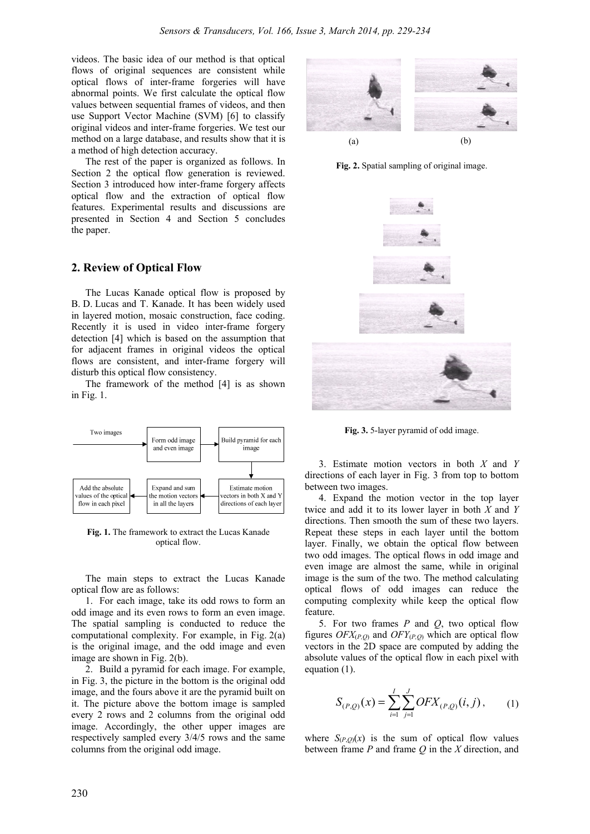videos. The basic idea of our method is that optical flows of original sequences are consistent while optical flows of inter-frame forgeries will have abnormal points. We first calculate the optical flow values between sequential frames of videos, and then use Support Vector Machine (SVM) [6] to classify original videos and inter-frame forgeries. We test our method on a large database, and results show that it is a method of high detection accuracy.

The rest of the paper is organized as follows. In Section 2 the optical flow generation is reviewed. Section 3 introduced how inter-frame forgery affects optical flow and the extraction of optical flow features. Experimental results and discussions are presented in Section 4 and Section 5 concludes the paper.

# **2. Review of Optical Flow**

The Lucas Kanade optical flow is proposed by B. D. Lucas and T. Kanade. It has been widely used in layered motion, mosaic construction, face coding. Recently it is used in video inter-frame forgery detection [4] which is based on the assumption that for adjacent frames in original videos the optical flows are consistent, and inter-frame forgery will disturb this optical flow consistency.

The framework of the method [4] is as shown in Fig. 1.



**Fig. 1.** The framework to extract the Lucas Kanade optical flow.

The main steps to extract the Lucas Kanade optical flow are as follows:

1. For each image, take its odd rows to form an odd image and its even rows to form an even image. The spatial sampling is conducted to reduce the computational complexity. For example, in Fig. 2(a) is the original image, and the odd image and even image are shown in Fig. 2(b).

2. Build a pyramid for each image. For example, in Fig. 3, the picture in the bottom is the original odd image, and the fours above it are the pyramid built on it. The picture above the bottom image is sampled every 2 rows and 2 columns from the original odd image. Accordingly, the other upper images are respectively sampled every 3/4/5 rows and the same columns from the original odd image.



**Fig. 2.** Spatial sampling of original image.



**Fig. 3.** 5-layer pyramid of odd image.

3. Estimate motion vectors in both *X* and *Y* directions of each layer in Fig. 3 from top to bottom between two images.

4. Expand the motion vector in the top layer twice and add it to its lower layer in both *X* and *Y* directions. Then smooth the sum of these two layers. Repeat these steps in each layer until the bottom layer. Finally, we obtain the optical flow between two odd images. The optical flows in odd image and even image are almost the same, while in original image is the sum of the two. The method calculating optical flows of odd images can reduce the computing complexity while keep the optical flow feature.

5. For two frames *P* and *Q*, two optical flow figures  $OFX_{(P,Q)}$  and  $OFY_{(P,Q)}$  which are optical flow vectors in the 2D space are computed by adding the absolute values of the optical flow in each pixel with equation (1).

$$
S_{(P,Q)}(x) = \sum_{i=1}^{I} \sum_{j=1}^{J} OFX_{(P,Q)}(i,j), \qquad (1)
$$

where  $S_{(P,Q)}(x)$  is the sum of optical flow values between frame *P* and frame *Q* in the *X* direction, and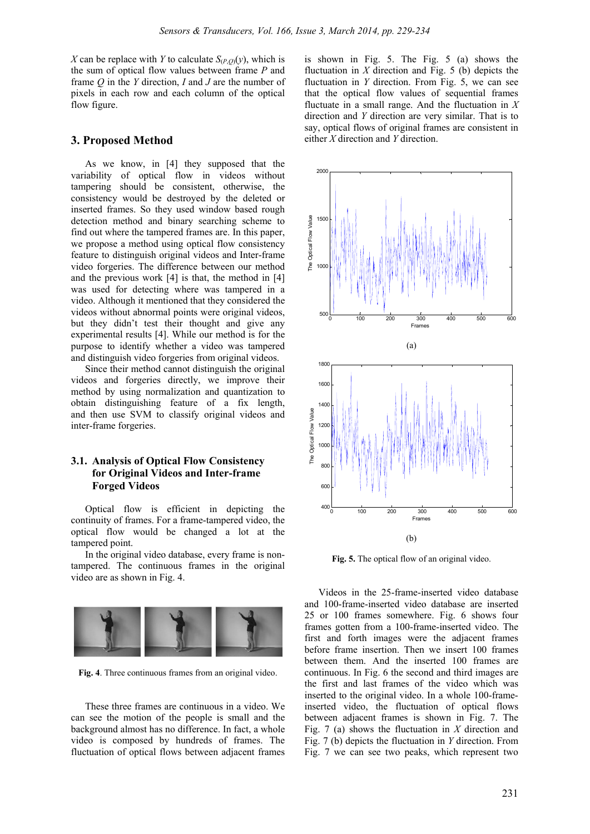*X* can be replace with *Y* to calculate  $S_{(P,Q)}(y)$ , which is the sum of optical flow values between frame *P* and frame *Q* in the *Y* direction, *I* and *J* are the number of pixels in each row and each column of the optical flow figure.

## **3. Proposed Method**

As we know, in [4] they supposed that the variability of optical flow in videos without tampering should be consistent, otherwise, the consistency would be destroyed by the deleted or inserted frames. So they used window based rough detection method and binary searching scheme to find out where the tampered frames are. In this paper, we propose a method using optical flow consistency feature to distinguish original videos and Inter-frame video forgeries. The difference between our method and the previous work [4] is that, the method in [4] was used for detecting where was tampered in a video. Although it mentioned that they considered the videos without abnormal points were original videos, but they didn't test their thought and give any experimental results [4]. While our method is for the purpose to identify whether a video was tampered and distinguish video forgeries from original videos.

Since their method cannot distinguish the original videos and forgeries directly, we improve their method by using normalization and quantization to obtain distinguishing feature of a fix length, and then use SVM to classify original videos and inter-frame forgeries.

## **3.1. Analysis of Optical Flow Consistency for Original Videos and Inter-frame Forged Videos**

Optical flow is efficient in depicting the continuity of frames. For a frame-tampered video, the optical flow would be changed a lot at the tampered point.

In the original video database, every frame is nontampered. The continuous frames in the original video are as shown in Fig. 4.



**Fig. 4**. Three continuous frames from an original video.

These three frames are continuous in a video. We can see the motion of the people is small and the background almost has no difference. In fact, a whole video is composed by hundreds of frames. The fluctuation of optical flows between adjacent frames

is shown in Fig. 5. The Fig. 5 (a) shows the fluctuation in  $X$  direction and Fig. 5 (b) depicts the fluctuation in *Y* direction. From Fig. 5, we can see that the optical flow values of sequential frames fluctuate in a small range. And the fluctuation in *X* direction and *Y* direction are very similar. That is to say, optical flows of original frames are consistent in either *X* direction and *Y* direction.



**Fig. 5.** The optical flow of an original video.

Videos in the 25-frame-inserted video database and 100-frame-inserted video database are inserted 25 or 100 frames somewhere. Fig. 6 shows four frames gotten from a 100-frame-inserted video. The first and forth images were the adjacent frames before frame insertion. Then we insert 100 frames between them. And the inserted 100 frames are continuous. In Fig. 6 the second and third images are the first and last frames of the video which was inserted to the original video. In a whole 100-frameinserted video, the fluctuation of optical flows between adjacent frames is shown in Fig. 7. The Fig. 7 (a) shows the fluctuation in *X* direction and Fig. 7 (b) depicts the fluctuation in *Y* direction. From Fig. 7 we can see two peaks, which represent two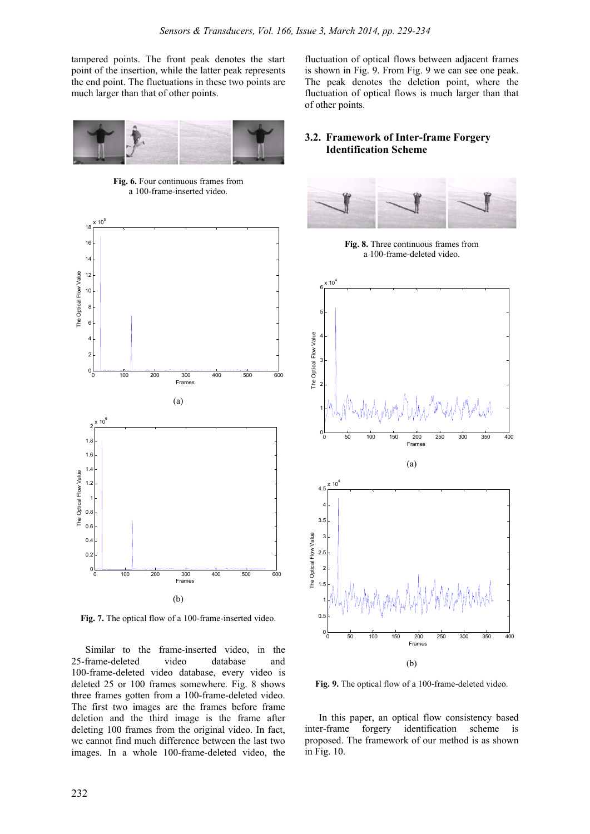tampered points. The front peak denotes the start point of the insertion, while the latter peak represents the end point. The fluctuations in these two points are much larger than that of other points.



**Fig. 6.** Four continuous frames from a 100-frame-inserted video.



**Fig. 7.** The optical flow of a 100-frame-inserted video.

Similar to the frame-inserted video, in the 25-frame-deleted video database and 100-frame-deleted video database, every video is deleted 25 or 100 frames somewhere. Fig. 8 shows three frames gotten from a 100-frame-deleted video. The first two images are the frames before frame deletion and the third image is the frame after deleting 100 frames from the original video. In fact, we cannot find much difference between the last two images. In a whole 100-frame-deleted video, the

fluctuation of optical flows between adjacent frames is shown in Fig. 9. From Fig. 9 we can see one peak. The peak denotes the deletion point, where the fluctuation of optical flows is much larger than that of other points.

# **3.2. Framework of Inter-frame Forgery Identification Scheme**



**Fig. 9.** The optical flow of a 100-frame-deleted video.

In this paper, an optical flow consistency based inter-frame forgery identification scheme is proposed. The framework of our method is as shown in Fig. 10.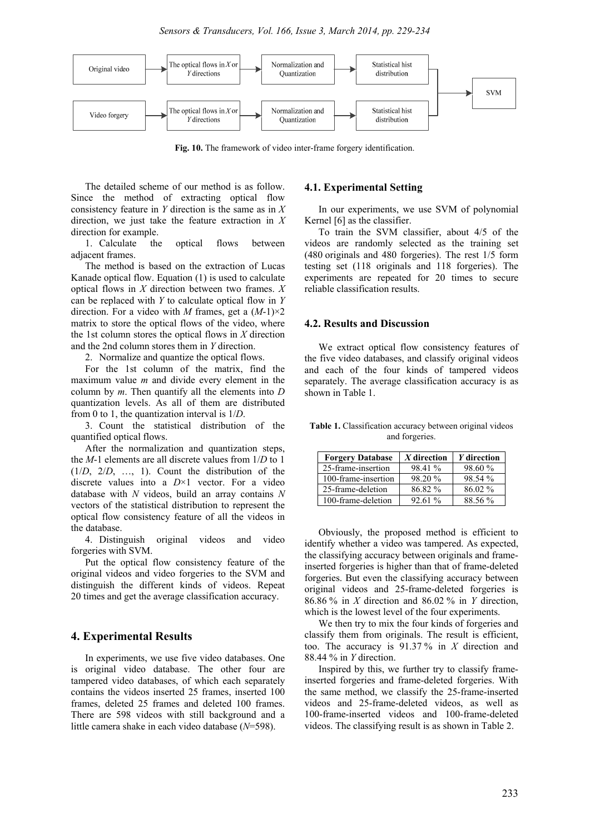

**Fig. 10.** The framework of video inter-frame forgery identification.

The detailed scheme of our method is as follow. Since the method of extracting optical flow consistency feature in *Y* direction is the same as in *X* direction, we just take the feature extraction in *X* direction for example.

1. Calculate the optical flows between adjacent frames.

The method is based on the extraction of Lucas Kanade optical flow. Equation (1) is used to calculate optical flows in *X* direction between two frames. *X* can be replaced with *Y* to calculate optical flow in *Y* direction. For a video with *M* frames, get a (*M*-1)×2 matrix to store the optical flows of the video, where the 1st column stores the optical flows in *X* direction and the 2nd column stores them in *Y* direction.

2. Normalize and quantize the optical flows.

For the 1st column of the matrix, find the maximum value *m* and divide every element in the column by *m*. Then quantify all the elements into *D* quantization levels. As all of them are distributed from 0 to 1, the quantization interval is 1/*D*.

3. Count the statistical distribution of the quantified optical flows.

After the normalization and quantization steps, the *M*-1 elements are all discrete values from 1/*D* to 1 (1/*D*, 2/*D*, …, 1). Count the distribution of the discrete values into a *D*×1 vector. For a video database with *N* videos, build an array contains *N* vectors of the statistical distribution to represent the optical flow consistency feature of all the videos in the database.

4. Distinguish original videos and video forgeries with SVM.

Put the optical flow consistency feature of the original videos and video forgeries to the SVM and distinguish the different kinds of videos. Repeat 20 times and get the average classification accuracy.

## **4. Experimental Results**

In experiments, we use five video databases. One is original video database. The other four are tampered video databases, of which each separately contains the videos inserted 25 frames, inserted 100 frames, deleted 25 frames and deleted 100 frames. There are 598 videos with still background and a little camera shake in each video database (*N*=598).

#### **4.1. Experimental Setting**

In our experiments, we use SVM of polynomial Kernel [6] as the classifier.

To train the SVM classifier, about 4/5 of the videos are randomly selected as the training set (480 originals and 480 forgeries). The rest 1/5 form testing set (118 originals and 118 forgeries). The experiments are repeated for 20 times to secure reliable classification results.

#### **4.2. Results and Discussion**

We extract optical flow consistency features of the five video databases, and classify original videos and each of the four kinds of tampered videos separately. The average classification accuracy is as shown in Table 1.

**Table 1.** Classification accuracy between original videos and forgeries.

| <b>Forgery Database</b> | $X$ direction | Y direction |
|-------------------------|---------------|-------------|
| 25-frame-insertion      | 98.41 %       | 98.60 %     |
| 100-frame-insertion     | 98.20 %       | 98.54 %     |
| 25-frame-deletion       | 86.82 %       | 86.02 %     |
| 100-frame-deletion      | 92.61%        | 88.56 %     |

Obviously, the proposed method is efficient to identify whether a video was tampered. As expected, the classifying accuracy between originals and frameinserted forgeries is higher than that of frame-deleted forgeries. But even the classifying accuracy between original videos and 25-frame-deleted forgeries is 86.86 % in *X* direction and 86.02 % in *Y* direction, which is the lowest level of the four experiments.

We then try to mix the four kinds of forgeries and classify them from originals. The result is efficient, too. The accuracy is 91.37 % in *X* direction and 88.44 % in *Y* direction.

Inspired by this, we further try to classify frameinserted forgeries and frame-deleted forgeries. With the same method, we classify the 25-frame-inserted videos and 25-frame-deleted videos, as well as 100-frame-inserted videos and 100-frame-deleted videos. The classifying result is as shown in Table 2.